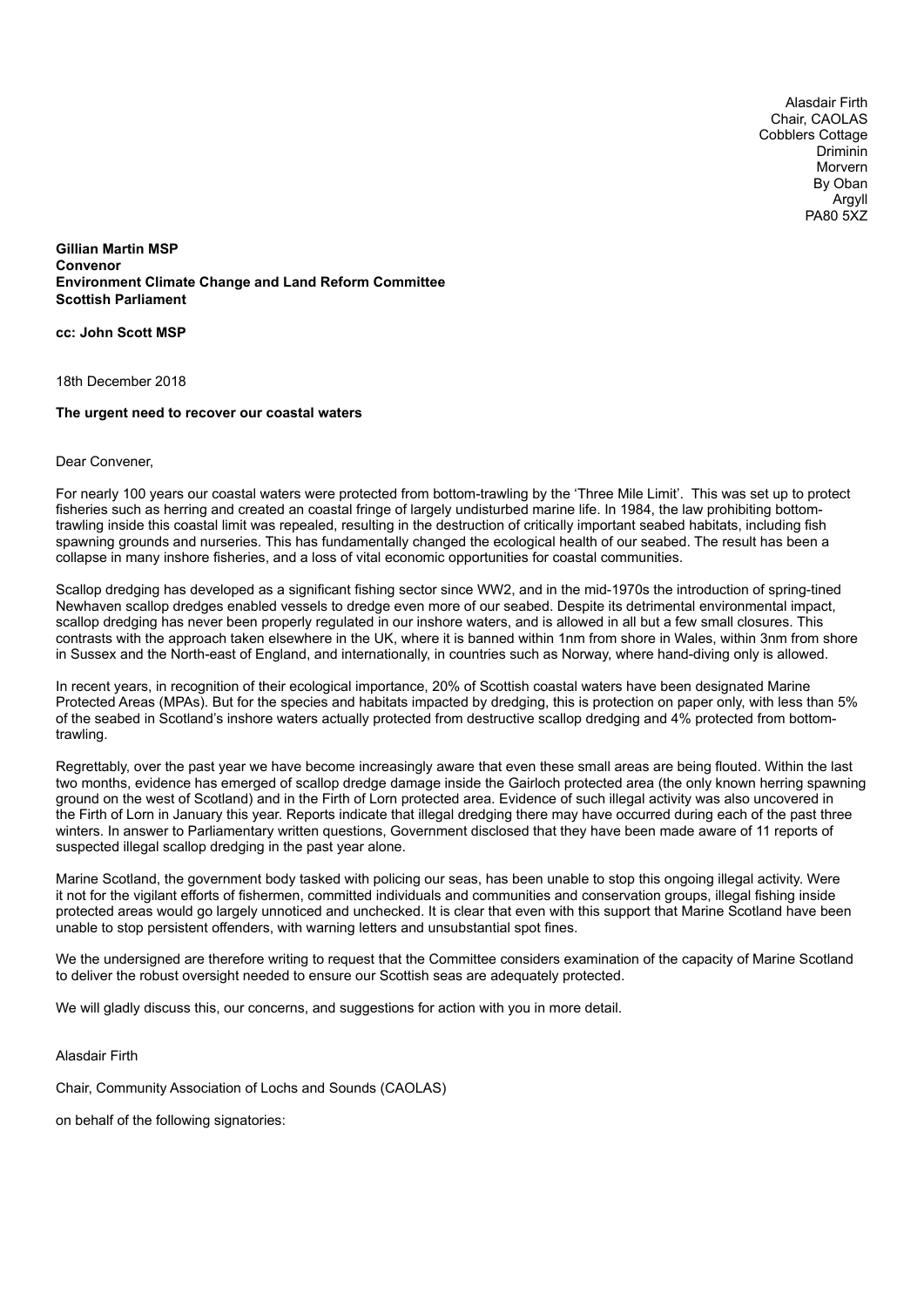Alasdair Firth Chair, CAOLAS Cobblers Cottage Driminin Morvern By Oban Argyll PA80 5XZ

**Gillian Martin MSP Convenor Environment Climate Change and Land Reform Committee Scottish Parliament**

**cc: John Scott MSP**

18th December 2018

## **The urgent need to recover our coastal waters**

## Dear Convener,

For nearly 100 years our coastal waters were protected from bottom-trawling by the 'Three Mile Limit'. This was set up to protect fisheries such as herring and created an coastal fringe of largely undisturbed marine life. In 1984, the law prohibiting bottomtrawling inside this coastal limit was repealed, resulting in the destruction of critically important seabed habitats, including fish spawning grounds and nurseries. This has fundamentally changed the ecological health of our seabed. The result has been a collapse in many inshore fisheries, and a loss of vital economic opportunities for coastal communities.

Scallop dredging has developed as a significant fishing sector since WW2, and in the mid-1970s the introduction of spring-tined Newhaven scallop dredges enabled vessels to dredge even more of our seabed. Despite its detrimental environmental impact, scallop dredging has never been properly regulated in our inshore waters, and is allowed in all but a few small closures. This contrasts with the approach taken elsewhere in the UK, where it is banned within 1nm from shore in Wales, within 3nm from shore in Sussex and the North-east of England, and internationally, in countries such as Norway, where hand-diving only is allowed.

In recent years, in recognition of their ecological importance, 20% of Scottish coastal waters have been designated Marine Protected Areas (MPAs). But for the species and habitats impacted by dredging, this is protection on paper only, with less than 5% of the seabed in Scotland's inshore waters actually protected from destructive scallop dredging and 4% protected from bottomtrawling.

Regrettably, over the past year we have become increasingly aware that even these small areas are being flouted. Within the last two months, evidence has emerged of scallop dredge damage inside the Gairloch protected area (the only known herring spawning ground on the west of Scotland) and in the Firth of Lorn protected area. Evidence of such illegal activity was also uncovered in the Firth of Lorn in January this year. Reports indicate that illegal dredging there may have occurred during each of the past three winters. In answer to Parliamentary written questions, Government disclosed that they have been made aware of 11 reports of suspected illegal scallop dredging in the past year alone.

Marine Scotland, the government body tasked with policing our seas, has been unable to stop this ongoing illegal activity. Were it not for the vigilant efforts of fishermen, committed individuals and communities and conservation groups, illegal fishing inside protected areas would go largely unnoticed and unchecked. It is clear that even with this support that Marine Scotland have been unable to stop persistent offenders, with warning letters and unsubstantial spot fines.

We the undersigned are therefore writing to request that the Committee considers examination of the capacity of Marine Scotland to deliver the robust oversight needed to ensure our Scottish seas are adequately protected.

We will gladly discuss this, our concerns, and suggestions for action with you in more detail.

Alasdair Firth

Chair, Community Association of Lochs and Sounds (CAOLAS)

on behalf of the following signatories: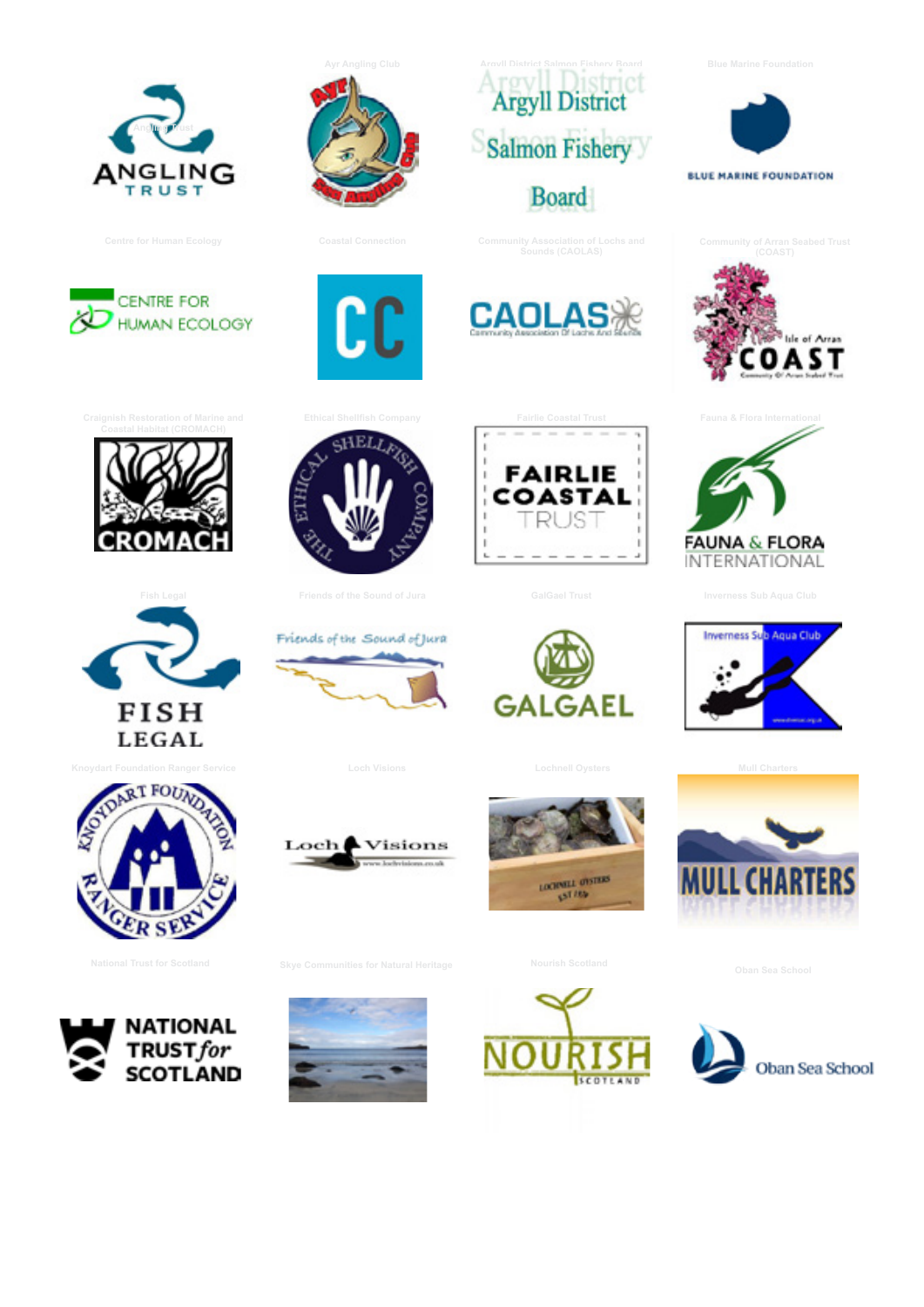













 ${\rm \bf C}$ C





**FAIRLIE** COASTAL **RUS** 















**MULL CHARTERS** 









**[Skye Communities for Natural Heritage](https://www.facebook.com/SkyeNaturalHeritage/) Communities for Natural Heritage [Nourish Scotland](http://www.nourishscotland.org/) Communities for Natural Trust for Scotland**